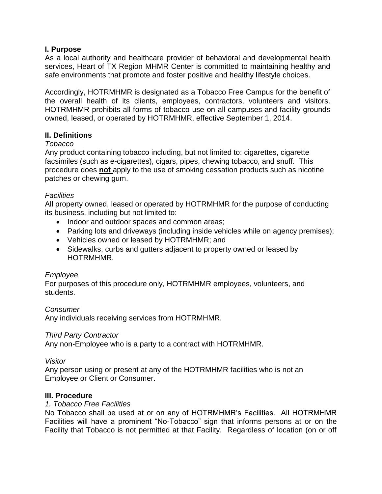## **I. Purpose**

As a local authority and healthcare provider of behavioral and developmental health services, Heart of TX Region MHMR Center is committed to maintaining healthy and safe environments that promote and foster positive and healthy lifestyle choices.

Accordingly, HOTRMHMR is designated as a Tobacco Free Campus for the benefit of the overall health of its clients, employees, contractors, volunteers and visitors. HOTRMHMR prohibits all forms of tobacco use on all campuses and facility grounds owned, leased, or operated by HOTRMHMR, effective September 1, 2014.

# **II. Definitions**

### *Tobacco*

Any product containing tobacco including, but not limited to: cigarettes, cigarette facsimiles (such as e-cigarettes), cigars, pipes, chewing tobacco, and snuff. This procedure does **not** apply to the use of smoking cessation products such as nicotine patches or chewing gum.

## *Facilities*

All property owned, leased or operated by HOTRMHMR for the purpose of conducting its business, including but not limited to:

- Indoor and outdoor spaces and common areas;
- Parking lots and driveways (including inside vehicles while on agency premises);
- Vehicles owned or leased by HOTRMHMR; and
- Sidewalks, curbs and gutters adjacent to property owned or leased by HOTRMHMR.

### *Employee*

For purposes of this procedure only, HOTRMHMR employees, volunteers, and students.

### *Consumer*

Any individuals receiving services from HOTRMHMR.

### *Third Party Contractor*

Any non-Employee who is a party to a contract with HOTRMHMR.

### *Visitor*

Any person using or present at any of the HOTRMHMR facilities who is not an Employee or Client or Consumer.

### **III. Procedure**

### *1. Tobacco Free Facilities*

No Tobacco shall be used at or on any of HOTRMHMR's Facilities. All HOTRMHMR Facilities will have a prominent "No-Tobacco" sign that informs persons at or on the Facility that Tobacco is not permitted at that Facility. Regardless of location (on or off